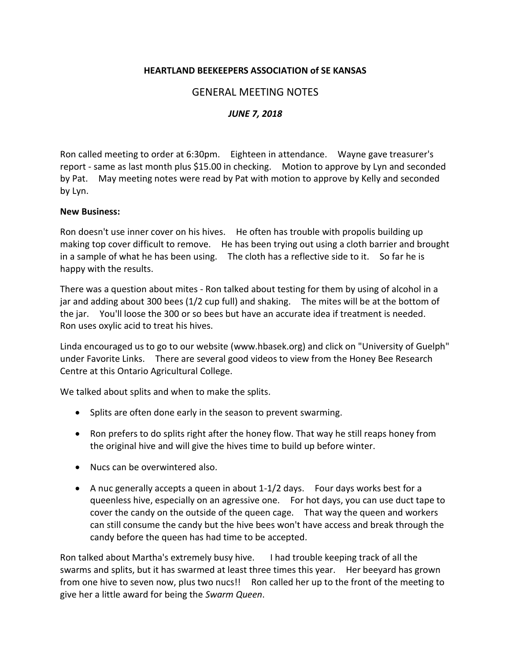## **HEARTLAND BEEKEEPERS ASSOCIATION of SE KANSAS**

## GENERAL MEETING NOTES

## *JUNE 7, 2018*

Ron called meeting to order at 6:30pm. Eighteen in attendance. Wayne gave treasurer's report - same as last month plus \$15.00 in checking. Motion to approve by Lyn and seconded by Pat. May meeting notes were read by Pat with motion to approve by Kelly and seconded by Lyn.

## **New Business:**

Ron doesn't use inner cover on his hives. He often has trouble with propolis building up making top cover difficult to remove. He has been trying out using a cloth barrier and brought in a sample of what he has been using. The cloth has a reflective side to it. So far he is happy with the results.

There was a question about mites - Ron talked about testing for them by using of alcohol in a jar and adding about 300 bees (1/2 cup full) and shaking. The mites will be at the bottom of the jar. You'll loose the 300 or so bees but have an accurate idea if treatment is needed. Ron uses oxylic acid to treat his hives.

Linda encouraged us to go to our website [\(www.hbasek.org\)](../../../../Downloads/www.hbasek.org) and click on "University of Guelph" under Favorite Links. There are several good videos to view from the Honey Bee Research Centre at this Ontario Agricultural College.

We talked about splits and when to make the splits.

- Splits are often done early in the season to prevent swarming.
- Ron prefers to do splits right after the honey flow. That way he still reaps honey from the original hive and will give the hives time to build up before winter.
- Nucs can be overwintered also.
- A nuc generally accepts a queen in about 1-1/2 days. Four days works best for a queenless hive, especially on an agressive one. For hot days, you can use duct tape to cover the candy on the outside of the queen cage. That way the queen and workers can still consume the candy but the hive bees won't have access and break through the candy before the queen has had time to be accepted.

Ron talked about Martha's extremely busy hive. I had trouble keeping track of all the swarms and splits, but it has swarmed at least three times this year. Her beeyard has grown from one hive to seven now, plus two nucs!! Ron called her up to the front of the meeting to give her a little award for being the *Swarm Queen*.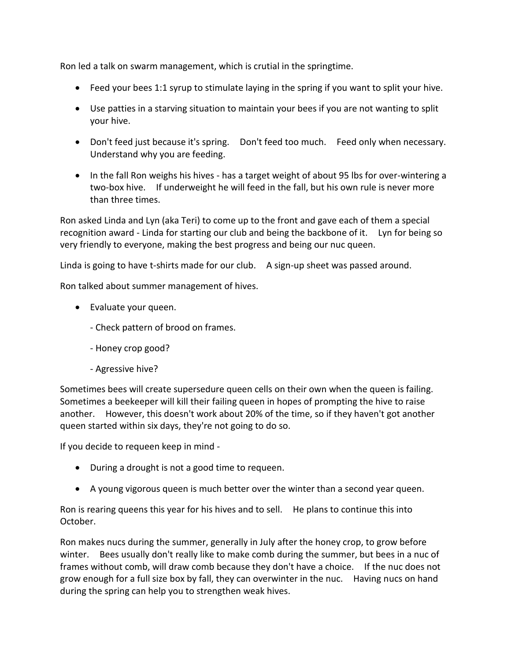Ron led a talk on swarm management, which is crutial in the springtime.

- Feed your bees 1:1 syrup to stimulate laying in the spring if you want to split your hive.
- Use patties in a starving situation to maintain your bees if you are not wanting to split your hive.
- Don't feed just because it's spring. Don't feed too much. Feed only when necessary. Understand why you are feeding.
- In the fall Ron weighs his hives has a target weight of about 95 lbs for over-wintering a two-box hive. If underweight he will feed in the fall, but his own rule is never more than three times.

Ron asked Linda and Lyn (aka Teri) to come up to the front and gave each of them a special recognition award - Linda for starting our club and being the backbone of it. Lyn for being so very friendly to everyone, making the best progress and being our nuc queen.

Linda is going to have t-shirts made for our club. A sign-up sheet was passed around.

Ron talked about summer management of hives.

- Evaluate your queen.
	- Check pattern of brood on frames.
	- Honey crop good?
	- Agressive hive?

Sometimes bees will create supersedure queen cells on their own when the queen is failing. Sometimes a beekeeper will kill their failing queen in hopes of prompting the hive to raise another. However, this doesn't work about 20% of the time, so if they haven't got another queen started within six days, they're not going to do so.

If you decide to requeen keep in mind -

- During a drought is not a good time to requeen.
- A young vigorous queen is much better over the winter than a second year queen.

Ron is rearing queens this year for his hives and to sell. He plans to continue this into October.

Ron makes nucs during the summer, generally in July after the honey crop, to grow before winter. Bees usually don't really like to make comb during the summer, but bees in a nuc of frames without comb, will draw comb because they don't have a choice. If the nuc does not grow enough for a full size box by fall, they can overwinter in the nuc. Having nucs on hand during the spring can help you to strengthen weak hives.